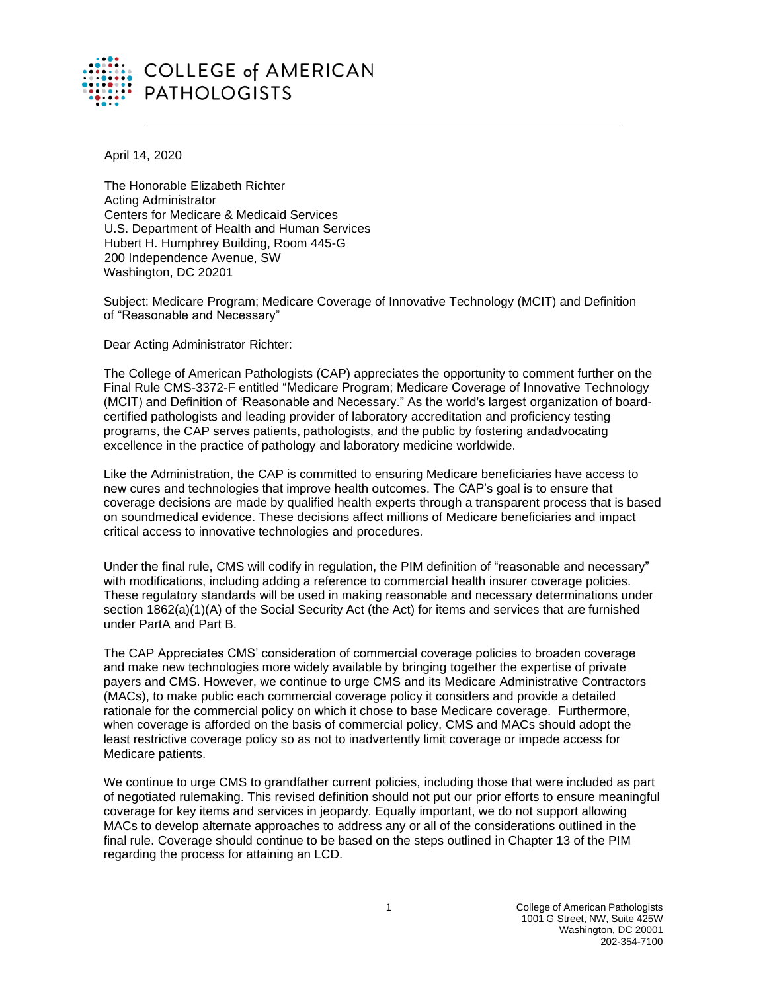

April 14, 2020

The Honorable Elizabeth Richter Acting Administrator Centers for Medicare & Medicaid Services U.S. Department of Health and Human Services Hubert H. Humphrey Building, Room 445-G 200 Independence Avenue, SW Washington, DC 20201

Subject: Medicare Program; Medicare Coverage of Innovative Technology (MCIT) and Definition of "Reasonable and Necessary"

Dear Acting Administrator Richter:

The College of American Pathologists (CAP) appreciates the opportunity to comment further on the Final Rule CMS-3372-F entitled "Medicare Program; Medicare Coverage of Innovative Technology (MCIT) and Definition of 'Reasonable and Necessary." As the world's largest organization of boardcertified pathologists and leading provider of laboratory accreditation and proficiency testing programs, the CAP serves patients, pathologists, and the public by fostering andadvocating excellence in the practice of pathology and laboratory medicine worldwide.

Like the Administration, the CAP is committed to ensuring Medicare beneficiaries have access to new cures and technologies that improve health outcomes. The CAP's goal is to ensure that coverage decisions are made by qualified health experts through a transparent process that is based on soundmedical evidence. These decisions affect millions of Medicare beneficiaries and impact critical access to innovative technologies and procedures.

Under the final rule, CMS will codify in regulation, the PIM definition of "reasonable and necessary" with modifications, including adding a reference to commercial health insurer coverage policies. These regulatory standards will be used in making reasonable and necessary determinations under section 1862(a)(1)(A) of the Social Security Act (the Act) for items and services that are furnished under PartA and Part B.

The CAP Appreciates CMS' consideration of commercial coverage policies to broaden coverage and make new technologies more widely available by bringing together the expertise of private payers and CMS. However, we continue to urge CMS and its Medicare Administrative Contractors (MACs), to make public each commercial coverage policy it considers and provide a detailed rationale for the commercial policy on which it chose to base Medicare coverage. Furthermore, when coverage is afforded on the basis of commercial policy, CMS and MACs should adopt the least restrictive coverage policy so as not to inadvertently limit coverage or impede access for Medicare patients.

We continue to urge CMS to grandfather current policies, including those that were included as part of negotiated rulemaking. This revised definition should not put our prior efforts to ensure meaningful coverage for key items and services in jeopardy. Equally important, we do not support allowing MACs to develop alternate approaches to address any or all of the considerations outlined in the final rule. Coverage should continue to be based on the steps outlined in Chapter 13 of the PIM regarding the process for attaining an LCD.